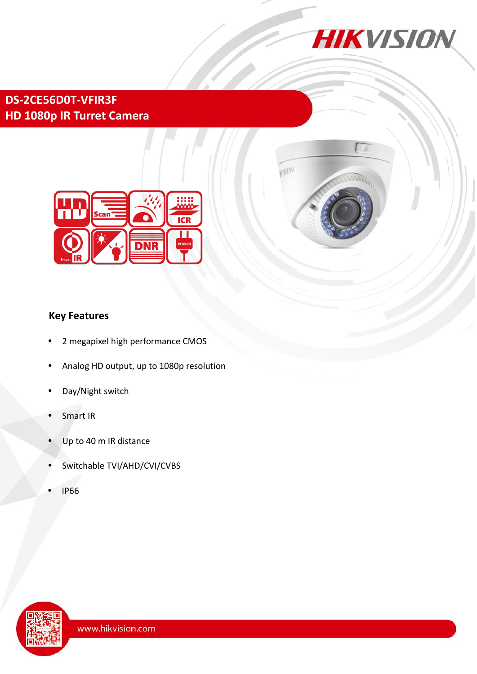

**MISION** 

# **DS-2CE56D0T-VFIR3F HD 1080p IR Turret Camera**



## **Key Features**

- 2 megapixel high performance CMOS
- Analog HD output, up to 1080p resolution
- Day/Night switch
- Smart IR
- Up to 40 m IR distance
- Switchable TVI/AHD/CVI/CVBS
- IP66

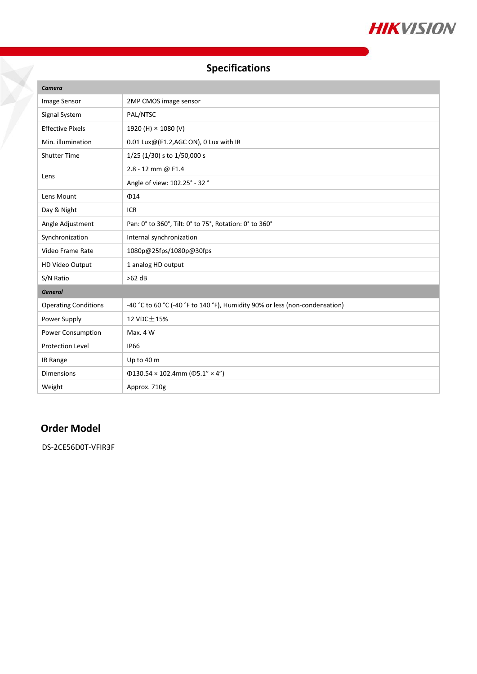

# **Specifications**

| Camera                      |                                                                             |
|-----------------------------|-----------------------------------------------------------------------------|
| Image Sensor                | 2MP CMOS image sensor                                                       |
| Signal System               | PAL/NTSC                                                                    |
| <b>Effective Pixels</b>     | 1920 (H) × 1080 (V)                                                         |
| Min. illumination           | 0.01 Lux@(F1.2,AGC ON), 0 Lux with IR                                       |
| <b>Shutter Time</b>         | 1/25 (1/30) s to 1/50,000 s                                                 |
| Lens                        | 2.8 - 12 mm @ F1.4                                                          |
|                             | Angle of view: 102.25° - 32 °                                               |
| Lens Mount                  | $\Phi$ 14                                                                   |
| Day & Night                 | <b>ICR</b>                                                                  |
| Angle Adjustment            | Pan: 0° to 360°, Tilt: 0° to 75°, Rotation: 0° to 360°                      |
| Synchronization             | Internal synchronization                                                    |
| Video Frame Rate            | 1080p@25fps/1080p@30fps                                                     |
| HD Video Output             | 1 analog HD output                                                          |
| S/N Ratio                   | $>62$ dB                                                                    |
| <b>General</b>              |                                                                             |
| <b>Operating Conditions</b> | -40 °C to 60 °C (-40 °F to 140 °F), Humidity 90% or less (non-condensation) |
| Power Supply                | 12 VDC ± 15%                                                                |
| Power Consumption           | Max. 4 W                                                                    |
| <b>Protection Level</b>     | <b>IP66</b>                                                                 |
| IR Range                    | Up to 40 m                                                                  |
| <b>Dimensions</b>           | $\Phi$ 130.54 × 102.4mm ( $\Phi$ 5.1" × 4")                                 |
| Weight                      | Approx. 710g                                                                |

## **Order Model**

DS-2CE56D0T-VFIR3F